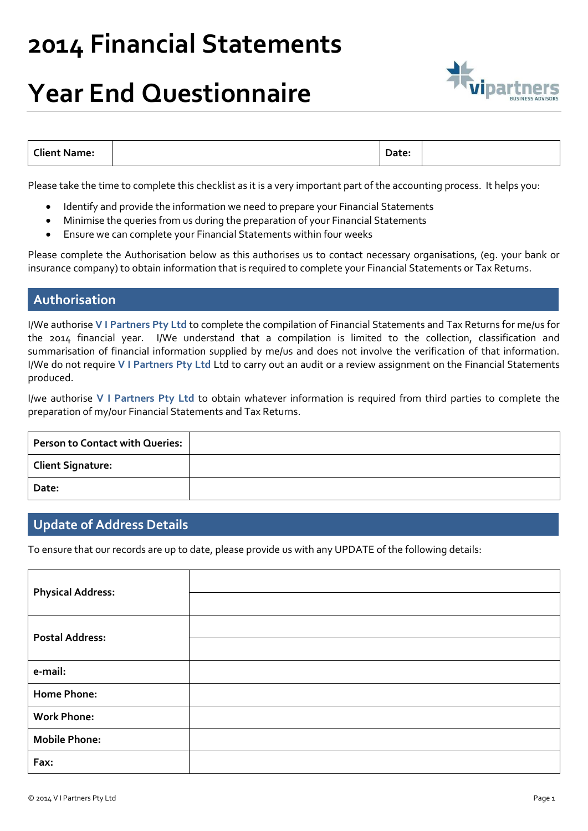### **Year End Questionnaire**



| <b>Client Name:</b><br>Date: |  |
|------------------------------|--|
|------------------------------|--|

Please take the time to complete this checklist as it is a very important part of the accounting process. It helps you:

- Identify and provide the information we need to prepare your Financial Statements
- Minimise the queries from us during the preparation of your Financial Statements
- Ensure we can complete your Financial Statements within four weeks

Please complete the Authorisation below as this authorises us to contact necessary organisations, (eg. your bank or insurance company) to obtain information that is required to complete your Financial Statements or Tax Returns.

#### **Authorisation**

I/We authorise **V I Partners Pty Ltd** to complete the compilation of Financial Statements and Tax Returns for me/us for the 2014 financial year. I/We understand that a compilation is limited to the collection, classification and summarisation of financial information supplied by me/us and does not involve the verification of that information. I/We do not require **V I Partners Pty Ltd** Ltd to carry out an audit or a review assignment on the Financial Statements produced.

I/we authorise **V I Partners Pty Ltd** to obtain whatever information is required from third parties to complete the preparation of my/our Financial Statements and Tax Returns.

| Person to Contact with Queries: |  |
|---------------------------------|--|
| <b>Client Signature:</b>        |  |
| Date:                           |  |

#### **Update of Address Details**

To ensure that our records are up to date, please provide us with any UPDATE of the following details:

| <b>Physical Address:</b> |  |
|--------------------------|--|
| <b>Postal Address:</b>   |  |
| e-mail:                  |  |
| <b>Home Phone:</b>       |  |
| <b>Work Phone:</b>       |  |
| <b>Mobile Phone:</b>     |  |
| Fax:                     |  |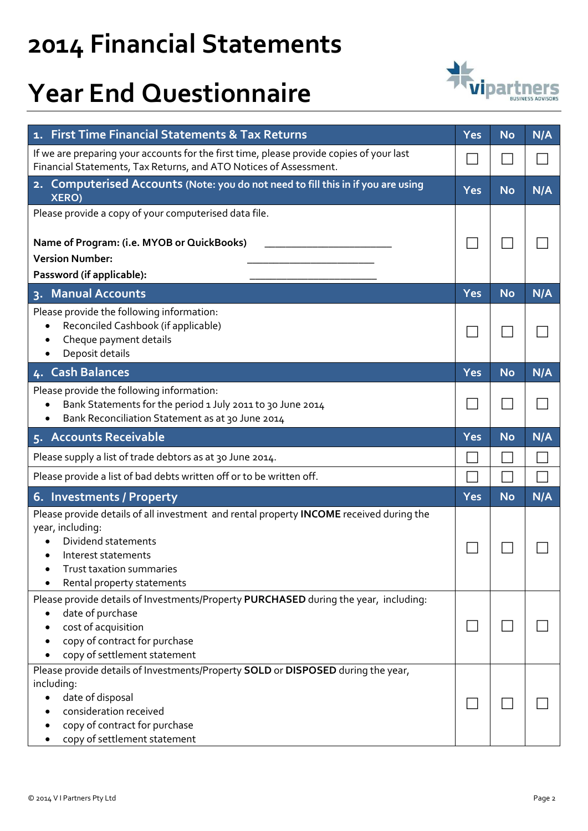## **Year End Questionnaire**



| 1. First Time Financial Statements & Tax Returns                                                                                                                                                                    | Yes        | <b>No</b> | N/A |
|---------------------------------------------------------------------------------------------------------------------------------------------------------------------------------------------------------------------|------------|-----------|-----|
| If we are preparing your accounts for the first time, please provide copies of your last<br>Financial Statements, Tax Returns, and ATO Notices of Assessment.                                                       |            |           |     |
| Computerised Accounts (Note: you do not need to fill this in if you are using<br>2.<br><b>XERO)</b>                                                                                                                 | <b>Yes</b> | <b>No</b> | N/A |
| Please provide a copy of your computerised data file.                                                                                                                                                               |            |           |     |
| Name of Program: (i.e. MYOB or QuickBooks)                                                                                                                                                                          |            |           |     |
| <b>Version Number:</b>                                                                                                                                                                                              |            |           |     |
| Password (if applicable):                                                                                                                                                                                           |            |           |     |
| <b>Manual Accounts</b><br>$3 -$                                                                                                                                                                                     | Yes        | <b>No</b> | N/A |
| Please provide the following information:<br>Reconciled Cashbook (if applicable)<br>Cheque payment details<br>Deposit details                                                                                       |            |           |     |
| <b>Cash Balances</b><br>4.                                                                                                                                                                                          | <b>Yes</b> | <b>No</b> | N/A |
| Please provide the following information:<br>Bank Statements for the period 1 July 2011 to 30 June 2014<br>Bank Reconciliation Statement as at 30 June 2014                                                         |            |           |     |
| 5. Accounts Receivable                                                                                                                                                                                              | Yes        | <b>No</b> | N/A |
| Please supply a list of trade debtors as at 30 June 2014.                                                                                                                                                           |            |           |     |
| Please provide a list of bad debts written off or to be written off.                                                                                                                                                |            |           |     |
| 6. Investments / Property                                                                                                                                                                                           | <b>Yes</b> | <b>No</b> | N/A |
| Please provide details of all investment and rental property INCOME received during the<br>year, including:<br>Dividend statements<br>Interest statements<br>Trust taxation summaries<br>Rental property statements |            |           |     |
| Please provide details of Investments/Property PURCHASED during the year, including:<br>date of purchase<br>cost of acquisition<br>copy of contract for purchase<br>copy of settlement statement                    |            |           |     |
| Please provide details of Investments/Property SOLD or DISPOSED during the year,<br>including:<br>date of disposal<br>consideration received<br>copy of contract for purchase<br>copy of settlement statement       |            |           |     |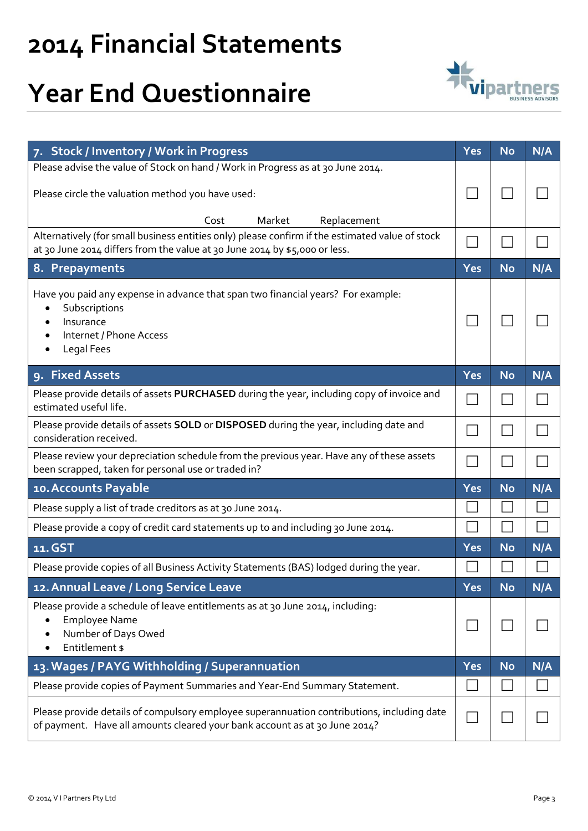## **Year End Questionnaire**



| 7. Stock / Inventory / Work in Progress                                                                                                                                       | <b>Yes</b> | <b>No</b> | N/A |
|-------------------------------------------------------------------------------------------------------------------------------------------------------------------------------|------------|-----------|-----|
| Please advise the value of Stock on hand / Work in Progress as at 30 June 2014.                                                                                               |            |           |     |
| Please circle the valuation method you have used:                                                                                                                             |            |           |     |
| Market<br>Cost<br>Replacement                                                                                                                                                 |            |           |     |
| Alternatively (for small business entities only) please confirm if the estimated value of stock<br>at 30 June 2014 differs from the value at 30 June 2014 by \$5,000 or less. |            |           |     |
| 8. Prepayments                                                                                                                                                                | Yes        | <b>No</b> | N/A |
| Have you paid any expense in advance that span two financial years? For example:<br>Subscriptions<br>Insurance<br>Internet / Phone Access<br>Legal Fees                       |            |           |     |
| <b>Fixed Assets</b><br>9.                                                                                                                                                     | <b>Yes</b> | <b>No</b> | N/A |
| Please provide details of assets PURCHASED during the year, including copy of invoice and<br>estimated useful life.                                                           |            |           |     |
| Please provide details of assets SOLD or DISPOSED during the year, including date and<br>consideration received.                                                              |            |           |     |
| Please review your depreciation schedule from the previous year. Have any of these assets<br>been scrapped, taken for personal use or traded in?                              |            |           |     |
| 10. Accounts Payable                                                                                                                                                          | Yes        | <b>No</b> | N/A |
| Please supply a list of trade creditors as at 30 June 2014.                                                                                                                   |            |           |     |
| Please provide a copy of credit card statements up to and including 30 June 2014.                                                                                             |            |           |     |
| 11. GST                                                                                                                                                                       | Yes        | <b>No</b> | N/A |
| Please provide copies of all Business Activity Statements (BAS) lodged during the year.                                                                                       |            |           |     |
| 12. Annual Leave / Long Service Leave                                                                                                                                         | Yes        | <b>No</b> | N/A |
| Please provide a schedule of leave entitlements as at 30 June 2014, including:<br><b>Employee Name</b><br>Number of Days Owed<br>Entitlement \$                               |            |           |     |
| 13. Wages / PAYG Withholding / Superannuation                                                                                                                                 | <b>Yes</b> | <b>No</b> | N/A |
| Please provide copies of Payment Summaries and Year-End Summary Statement.                                                                                                    |            |           |     |
| Please provide details of compulsory employee superannuation contributions, including date<br>of payment. Have all amounts cleared your bank account as at 30 June 2014?      |            |           |     |